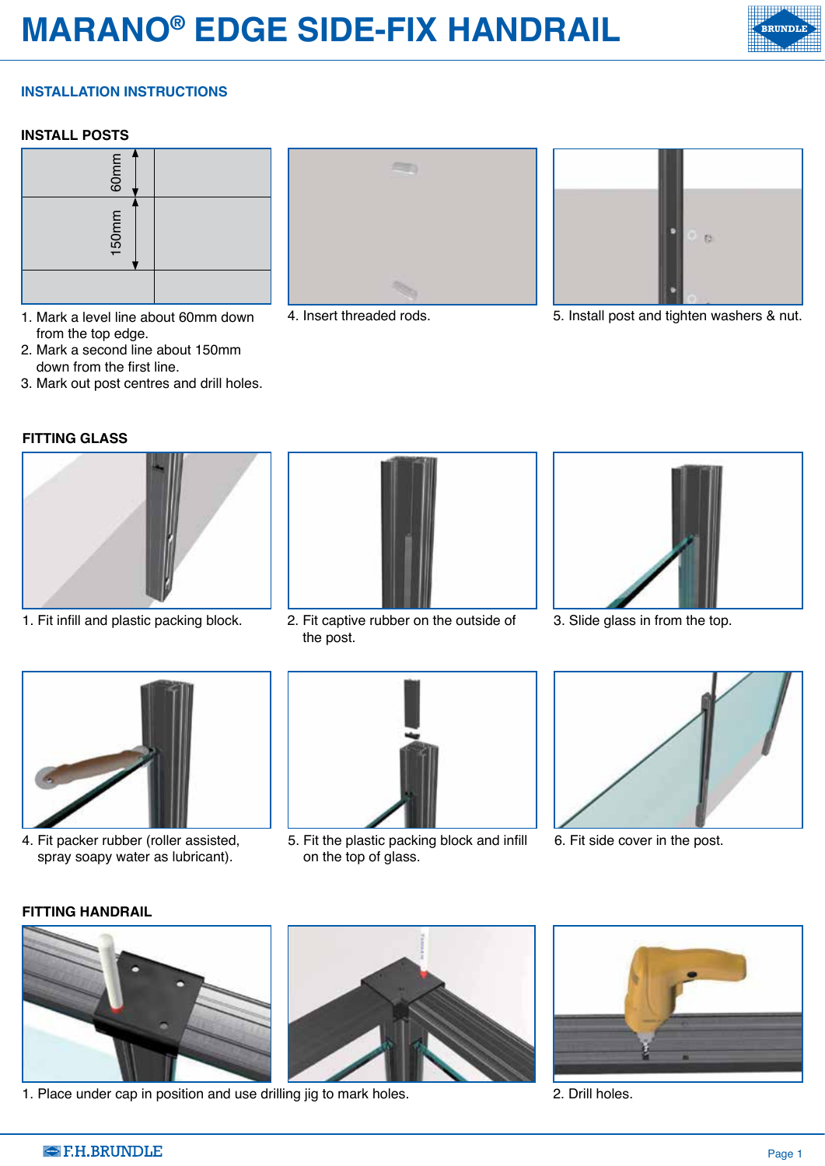# **MARANO® EDGE SIDE-FIX HANDRAIL**

## **INSTALLATION INSTRUCTIONS**

#### **INSTALL POSTS**



- 1. Mark a level line about 60mm down from the top edge.
- 2. Mark a second line about 150mm down from the first line.
- 3. Mark out post centres and drill holes.

### **FITTING GLASS**







4. Insert threaded rods. 5. Install post and tighten washers & nut.



1. Fit infill and plastic packing block. 2. Fit captive rubber on the outside of the post.



3. Slide glass in from the top.



4. Fit packer rubber (roller assisted, spray soapy water as lubricant).



5. Fit the plastic packing block and infill on the top of glass.



6. Fit side cover in the post.

#### **FITTING HANDRAIL**



1. Place under cap in position and use drilling jig to mark holes. 2. Drill holes.